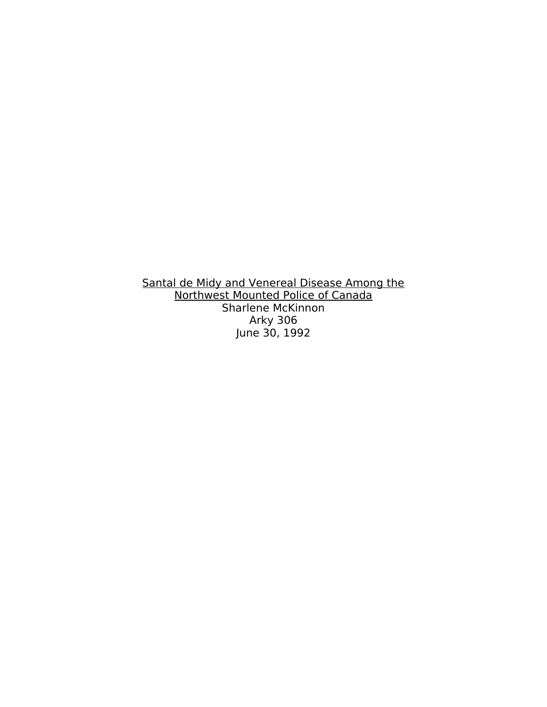Santal de Midy and Venereal Disease Among the Northwest Mounted Police of Canada Sharlene McKinnon Arky 306 June 30, 1992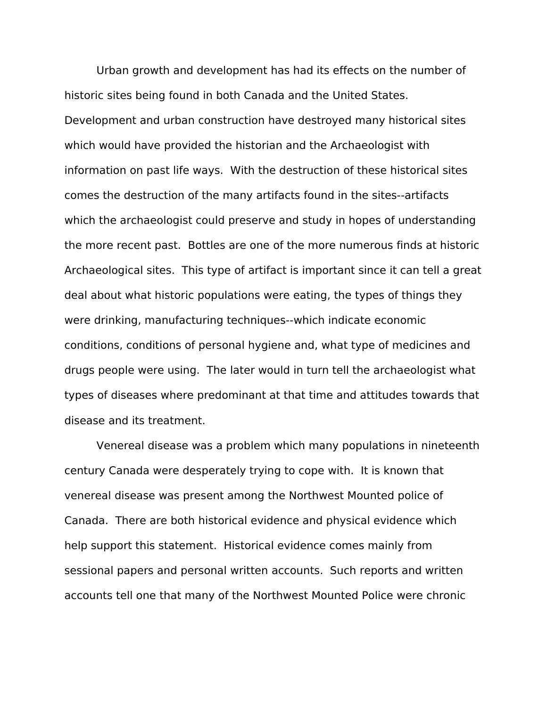Urban growth and development has had its effects on the number of historic sites being found in both Canada and the United States. Development and urban construction have destroyed many historical sites which would have provided the historian and the Archaeologist with information on past life ways. With the destruction of these historical sites comes the destruction of the many artifacts found in the sites--artifacts which the archaeologist could preserve and study in hopes of understanding the more recent past. Bottles are one of the more numerous finds at historic Archaeological sites. This type of artifact is important since it can tell a great deal about what historic populations were eating, the types of things they were drinking, manufacturing techniques--which indicate economic conditions, conditions of personal hygiene and, what type of medicines and drugs people were using. The later would in turn tell the archaeologist what types of diseases where predominant at that time and attitudes towards that disease and its treatment.

Venereal disease was a problem which many populations in nineteenth century Canada were desperately trying to cope with. It is known that venereal disease was present among the Northwest Mounted police of Canada. There are both historical evidence and physical evidence which help support this statement. Historical evidence comes mainly from sessional papers and personal written accounts. Such reports and written accounts tell one that many of the Northwest Mounted Police were chronic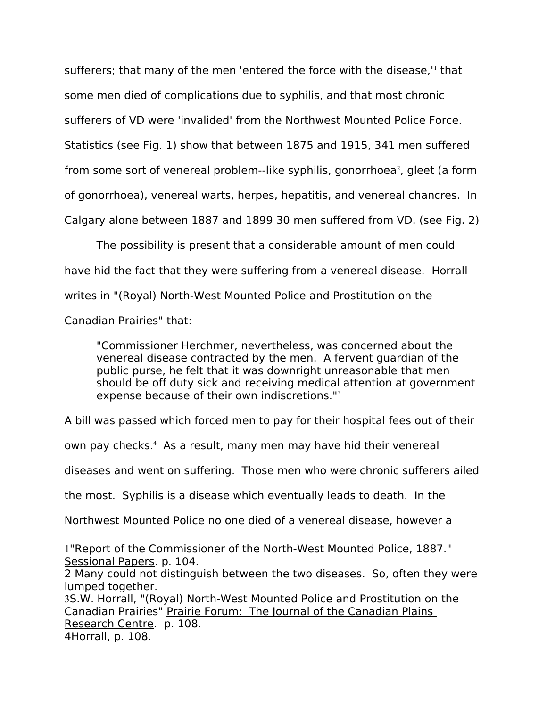sufferers; that many of the men 'entered the force with the disease,'<sup>[1](#page-2-0)</sup> that some men died of complications due to syphilis, and that most chronic sufferers of VD were 'invalided' from the Northwest Mounted Police Force. Statistics (see Fig. 1) show that between 1875 and 1915, 341 men suffered from some sort of venereal problem--like syphilis, gonorrhoea<sup>[2](#page-2-1)</sup>, gleet (a form of gonorrhoea), venereal warts, herpes, hepatitis, and venereal chancres. In Calgary alone between 1887 and 1899 30 men suffered from VD. (see Fig. 2)

The possibility is present that a considerable amount of men could have hid the fact that they were suffering from a venereal disease. Horrall writes in "(Royal) North-West Mounted Police and Prostitution on the Canadian Prairies" that:

"Commissioner Herchmer, nevertheless, was concerned about the venereal disease contracted by the men. A fervent guardian of the public purse, he felt that it was downright unreasonable that men should be off duty sick and receiving medical attention at government expense because of their own indiscretions."<sup>[3](#page-2-2)</sup>

A bill was passed which forced men to pay for their hospital fees out of their

own pay checks.<sup>[4](#page-2-3)</sup> As a result, many men may have hid their venereal

diseases and went on suffering. Those men who were chronic sufferers ailed

the most. Syphilis is a disease which eventually leads to death. In the

Northwest Mounted Police no one died of a venereal disease, however a

<span id="page-2-0"></span><sup>1</sup>"Report of the Commissioner of the North-West Mounted Police, 1887." Sessional Papers. p. 104.

<span id="page-2-1"></span><sup>2</sup> Many could not distinguish between the two diseases. So, often they were lumped together.

<span id="page-2-3"></span><span id="page-2-2"></span><sup>3</sup>S.W. Horrall, "(Royal) North-West Mounted Police and Prostitution on the Canadian Prairies" Prairie Forum: The Journal of the Canadian Plains Research Centre. p. 108. 4Horrall, p. 108.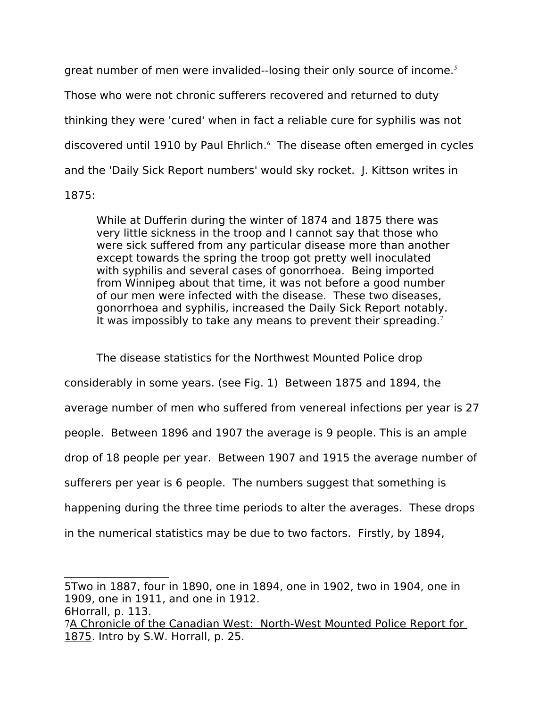great number of men were invalided--losing their only source of income.<sup>[5](#page-3-0)</sup> Those who were not chronic sufferers recovered and returned to duty thinking they were 'cured' when in fact a reliable cure for syphilis was not discovered until 1910 by Paul Ehrlich.<sup>[6](#page-3-1)</sup> The disease often emerged in cycles and the 'Daily Sick Report numbers' would sky rocket. J. Kittson writes in 1875:

While at Dufferin during the winter of 1874 and 1875 there was very little sickness in the troop and I cannot say that those who were sick suffered from any particular disease more than another except towards the spring the troop got pretty well inoculated with syphilis and several cases of gonorrhoea. Being imported from Winnipeg about that time, it was not before a good number of our men were infected with the disease. These two diseases, gonorrhoea and syphilis, increased the Daily Sick Report notably. It was impossibly to take any means to prevent their spreading.<sup>[7](#page-3-2)</sup>

The disease statistics for the Northwest Mounted Police drop considerably in some years. (see Fig. 1) Between 1875 and 1894, the average number of men who suffered from venereal infections per year is 27 people. Between 1896 and 1907 the average is 9 people. This is an ample drop of 18 people per year. Between 1907 and 1915 the average number of sufferers per year is 6 people. The numbers suggest that something is happening during the three time periods to alter the averages. These drops in the numerical statistics may be due to two factors. Firstly, by 1894,

<span id="page-3-0"></span><sup>5</sup>Two in 1887, four in 1890, one in 1894, one in 1902, two in 1904, one in 1909, one in 1911, and one in 1912. 6Horrall, p. 113.

<span id="page-3-2"></span><span id="page-3-1"></span><sup>7</sup>A Chronicle of the Canadian West: North-West Mounted Police Report for 1875. Intro by S.W. Horrall, p. 25.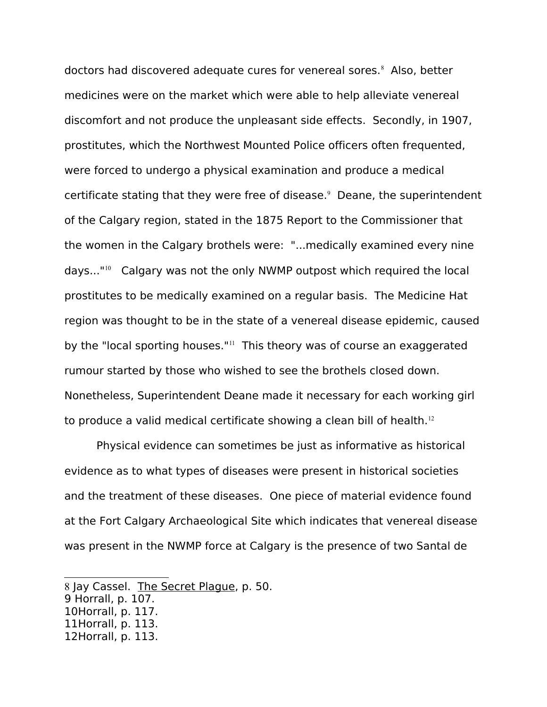doctors had discovered adequate cures for venereal sores.<sup>[8](#page-4-0)</sup> Also, better medicines were on the market which were able to help alleviate venereal discomfort and not produce the unpleasant side effects. Secondly, in 1907, prostitutes, which the Northwest Mounted Police officers often frequented, were forced to undergo a physical examination and produce a medical certificate stating that they were free of disease.<sup>[9](#page-4-1)</sup> Deane, the superintendent of the Calgary region, stated in the 1875 Report to the Commissioner that the women in the Calgary brothels were: "...medically examined every nine days..."[10](#page-4-2) Calgary was not the only NWMP outpost which required the local prostitutes to be medically examined on a regular basis. The Medicine Hat region was thought to be in the state of a venereal disease epidemic, caused by the "local sporting houses."<sup>[11](#page-4-3)</sup> This theory was of course an exaggerated rumour started by those who wished to see the brothels closed down. Nonetheless, Superintendent Deane made it necessary for each working girl to produce a valid medical certificate showing a clean bill of health.<sup>[12](#page-4-4)</sup>

Physical evidence can sometimes be just as informative as historical evidence as to what types of diseases were present in historical societies and the treatment of these diseases. One piece of material evidence found at the Fort Calgary Archaeological Site which indicates that venereal disease was present in the NWMP force at Calgary is the presence of two Santal de

- <span id="page-4-1"></span>9 Horrall, p. 107.
- <span id="page-4-2"></span>10Horrall, p. 117.
- <span id="page-4-3"></span>11Horrall, p. 113.
- <span id="page-4-4"></span>12Horrall, p. 113.

<span id="page-4-0"></span><sup>8</sup> Jay Cassel. The Secret Plague, p. 50.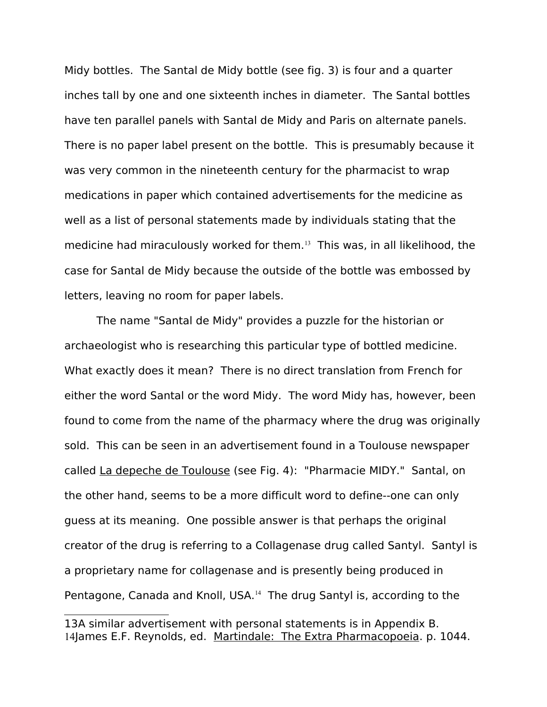Midy bottles. The Santal de Midy bottle (see fig. 3) is four and a quarter inches tall by one and one sixteenth inches in diameter. The Santal bottles have ten parallel panels with Santal de Midy and Paris on alternate panels. There is no paper label present on the bottle. This is presumably because it was very common in the nineteenth century for the pharmacist to wrap medications in paper which contained advertisements for the medicine as well as a list of personal statements made by individuals stating that the medicine had miraculously worked for them.[13](#page-5-0) This was, in all likelihood, the case for Santal de Midy because the outside of the bottle was embossed by letters, leaving no room for paper labels.

The name "Santal de Midy" provides a puzzle for the historian or archaeologist who is researching this particular type of bottled medicine. What exactly does it mean? There is no direct translation from French for either the word Santal or the word Midy. The word Midy has, however, been found to come from the name of the pharmacy where the drug was originally sold. This can be seen in an advertisement found in a Toulouse newspaper called La depeche de Toulouse (see Fig. 4): "Pharmacie MIDY." Santal, on the other hand, seems to be a more difficult word to define--one can only guess at its meaning. One possible answer is that perhaps the original creator of the drug is referring to a Collagenase drug called Santyl. Santyl is a proprietary name for collagenase and is presently being produced in Pentagone, Canada and Knoll, USA.<sup>[14](#page-5-1)</sup> The drug Santyl is, according to the

<span id="page-5-1"></span><span id="page-5-0"></span><sup>13</sup>A similar advertisement with personal statements is in Appendix B. 14James E.F. Reynolds, ed. Martindale: The Extra Pharmacopoeia. p. 1044.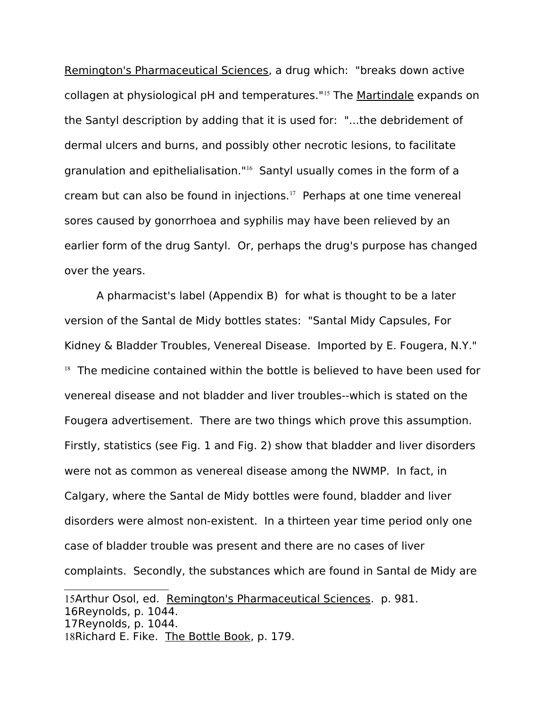Remington's Pharmaceutical Sciences, a drug which: "breaks down active collagen at physiological pH and temperatures."[15](#page-6-0) The Martindale expands on the Santyl description by adding that it is used for: "...the debridement of dermal ulcers and burns, and possibly other necrotic lesions, to facilitate granulation and epithelialisation."[16](#page-6-1) Santyl usually comes in the form of a cream but can also be found in injections.[17](#page-6-2) Perhaps at one time venereal sores caused by gonorrhoea and syphilis may have been relieved by an earlier form of the drug Santyl. Or, perhaps the drug's purpose has changed over the years.

<span id="page-6-3"></span><span id="page-6-2"></span><span id="page-6-1"></span><span id="page-6-0"></span>A pharmacist's label (Appendix B) for what is thought to be a later version of the Santal de Midy bottles states: "Santal Midy Capsules, For Kidney & Bladder Troubles, Venereal Disease. Imported by E. Fougera, N.Y."  $18$  The medicine contained within the bottle is believed to have been used for venereal disease and not bladder and liver troubles--which is stated on the Fougera advertisement. There are two things which prove this assumption. Firstly, statistics (see Fig. 1 and Fig. 2) show that bladder and liver disorders were not as common as venereal disease among the NWMP. In fact, in Calgary, where the Santal de Midy bottles were found, bladder and liver disorders were almost non-existent. In a thirteen year time period only one case of bladder trouble was present and there are no cases of liver complaints. Secondly, the substances which are found in Santal de Midy are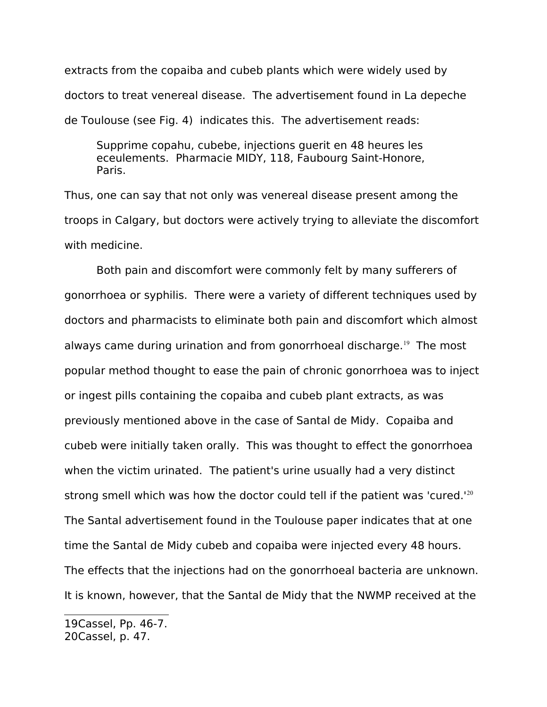extracts from the copaiba and cubeb plants which were widely used by doctors to treat venereal disease. The advertisement found in La depeche de Toulouse (see Fig. 4) indicates this. The advertisement reads:

Supprime copahu, cubebe, injections guerit en 48 heures les eceulements. Pharmacie MIDY, 118, Faubourg Saint-Honore, Paris.

Thus, one can say that not only was venereal disease present among the troops in Calgary, but doctors were actively trying to alleviate the discomfort with medicine.

Both pain and discomfort were commonly felt by many sufferers of gonorrhoea or syphilis. There were a variety of different techniques used by doctors and pharmacists to eliminate both pain and discomfort which almost always came during urination and from gonorrhoeal discharge.<sup>[19](#page-7-0)</sup> The most popular method thought to ease the pain of chronic gonorrhoea was to inject or ingest pills containing the copaiba and cubeb plant extracts, as was previously mentioned above in the case of Santal de Midy. Copaiba and cubeb were initially taken orally. This was thought to effect the gonorrhoea when the victim urinated. The patient's urine usually had a very distinct strong smell which was how the doctor could tell if the patient was 'cured.<sup>1[20](#page-7-1)</sup> The Santal advertisement found in the Toulouse paper indicates that at one time the Santal de Midy cubeb and copaiba were injected every 48 hours. The effects that the injections had on the gonorrhoeal bacteria are unknown. It is known, however, that the Santal de Midy that the NWMP received at the

<span id="page-7-1"></span><span id="page-7-0"></span>19Cassel, Pp. 46-7. 20Cassel, p. 47.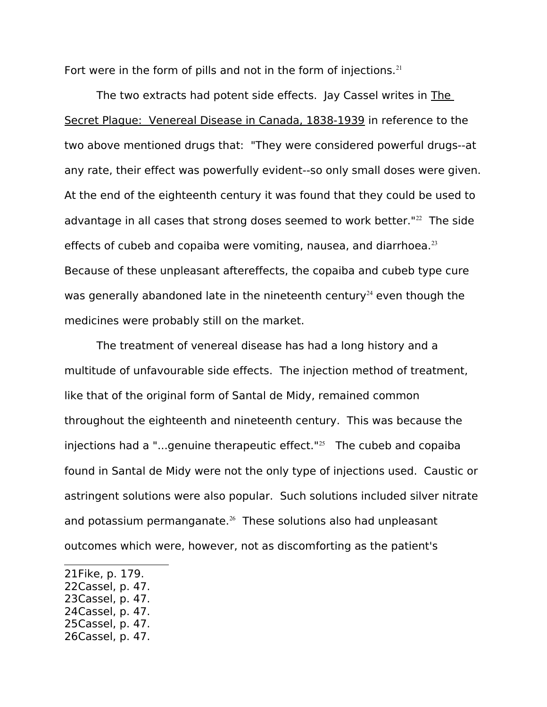Fort were in the form of pills and not in the form of injections. $21$ 

The two extracts had potent side effects. Jay Cassel writes in The Secret Plague: Venereal Disease in Canada, 1838-1939 in reference to the two above mentioned drugs that: "They were considered powerful drugs--at any rate, their effect was powerfully evident--so only small doses were given. At the end of the eighteenth century it was found that they could be used to advantage in all cases that strong doses seemed to work better."<sup>[22](#page-8-1)</sup> The side effects of cubeb and copaiba were vomiting, nausea, and diarrhoea.<sup>[23](#page-8-2)</sup> Because of these unpleasant aftereffects, the copaiba and cubeb type cure was generally abandoned late in the nineteenth century<sup>[24](#page-8-3)</sup> even though the medicines were probably still on the market.

The treatment of venereal disease has had a long history and a multitude of unfavourable side effects. The injection method of treatment, like that of the original form of Santal de Midy, remained common throughout the eighteenth and nineteenth century. This was because the injections had a "...genuine therapeutic effect." $25$  The cubeb and copaiba found in Santal de Midy were not the only type of injections used. Caustic or astringent solutions were also popular. Such solutions included silver nitrate and potassium permanganate.<sup>[26](#page-8-5)</sup> These solutions also had unpleasant outcomes which were, however, not as discomforting as the patient's

- <span id="page-8-1"></span>22Cassel, p. 47.
- <span id="page-8-2"></span>23Cassel, p. 47.
- <span id="page-8-3"></span>24Cassel, p. 47.
- <span id="page-8-4"></span>25Cassel, p. 47.
- <span id="page-8-5"></span>26Cassel, p. 47.

<span id="page-8-0"></span><sup>21</sup>Fike, p. 179.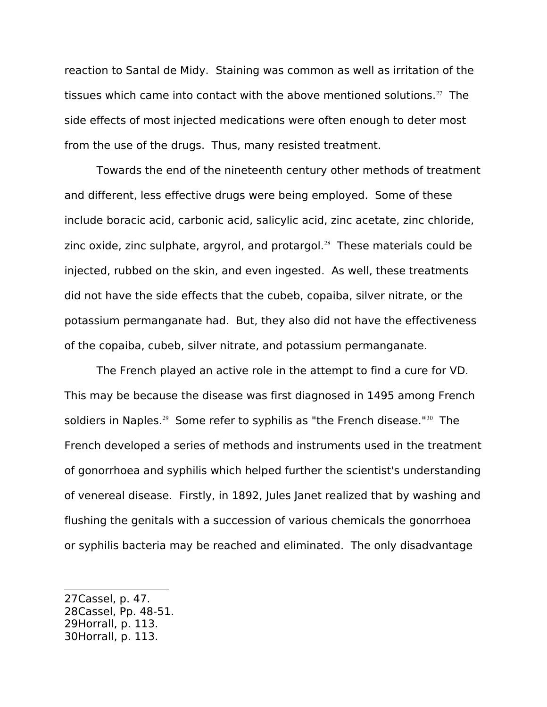reaction to Santal de Midy. Staining was common as well as irritation of the tissues which came into contact with the above mentioned solutions.<sup>[27](#page-9-0)</sup> The side effects of most injected medications were often enough to deter most from the use of the drugs. Thus, many resisted treatment.

Towards the end of the nineteenth century other methods of treatment and different, less effective drugs were being employed. Some of these include boracic acid, carbonic acid, salicylic acid, zinc acetate, zinc chloride, zinc oxide, zinc sulphate, argyrol, and protargol. $28$  These materials could be injected, rubbed on the skin, and even ingested. As well, these treatments did not have the side effects that the cubeb, copaiba, silver nitrate, or the potassium permanganate had. But, they also did not have the effectiveness of the copaiba, cubeb, silver nitrate, and potassium permanganate.

The French played an active role in the attempt to find a cure for VD. This may be because the disease was first diagnosed in 1495 among French soldiers in Naples.<sup>[29](#page-9-2)</sup> Some refer to syphilis as "the French disease."<sup>[30](#page-9-3)</sup> The French developed a series of methods and instruments used in the treatment of gonorrhoea and syphilis which helped further the scientist's understanding of venereal disease. Firstly, in 1892, Jules Janet realized that by washing and flushing the genitals with a succession of various chemicals the gonorrhoea or syphilis bacteria may be reached and eliminated. The only disadvantage

<span id="page-9-0"></span><sup>27</sup>Cassel, p. 47.

<span id="page-9-1"></span><sup>28</sup>Cassel, Pp. 48-51.

<span id="page-9-2"></span><sup>29</sup>Horrall, p. 113.

<span id="page-9-3"></span><sup>30</sup>Horrall, p. 113.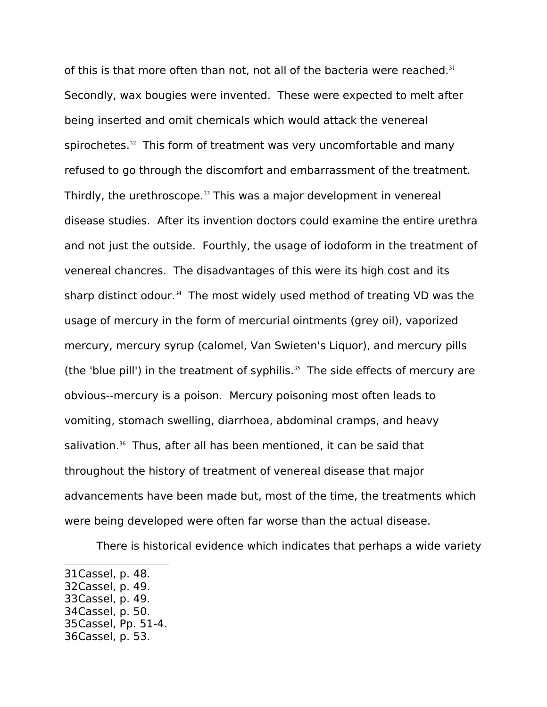of this is that more often than not, not all of the bacteria were reached.<sup>[31](#page-10-0)</sup> Secondly, wax bougies were invented. These were expected to melt after being inserted and omit chemicals which would attack the venereal spirochetes.<sup>[32](#page-10-1)</sup> This form of treatment was very uncomfortable and many refused to go through the discomfort and embarrassment of the treatment. Thirdly, the urethroscope. $33$  This was a major development in venereal disease studies. After its invention doctors could examine the entire urethra and not just the outside. Fourthly, the usage of iodoform in the treatment of venereal chancres. The disadvantages of this were its high cost and its sharp distinct odour. $34$  The most widely used method of treating VD was the usage of mercury in the form of mercurial ointments (grey oil), vaporized mercury, mercury syrup (calomel, Van Swieten's Liquor), and mercury pills (the 'blue pill') in the treatment of syphilis. $35$  The side effects of mercury are obvious--mercury is a poison. Mercury poisoning most often leads to vomiting, stomach swelling, diarrhoea, abdominal cramps, and heavy salivation.<sup>[36](#page-10-5)</sup> Thus, after all has been mentioned, it can be said that throughout the history of treatment of venereal disease that major advancements have been made but, most of the time, the treatments which were being developed were often far worse than the actual disease.

There is historical evidence which indicates that perhaps a wide variety

- <span id="page-10-1"></span>32Cassel, p. 49.
- <span id="page-10-2"></span>33Cassel, p. 49.
- <span id="page-10-3"></span>34Cassel, p. 50.
- <span id="page-10-4"></span>35Cassel, Pp. 51-4.
- <span id="page-10-5"></span>36Cassel, p. 53.

<span id="page-10-0"></span><sup>31</sup>Cassel, p. 48.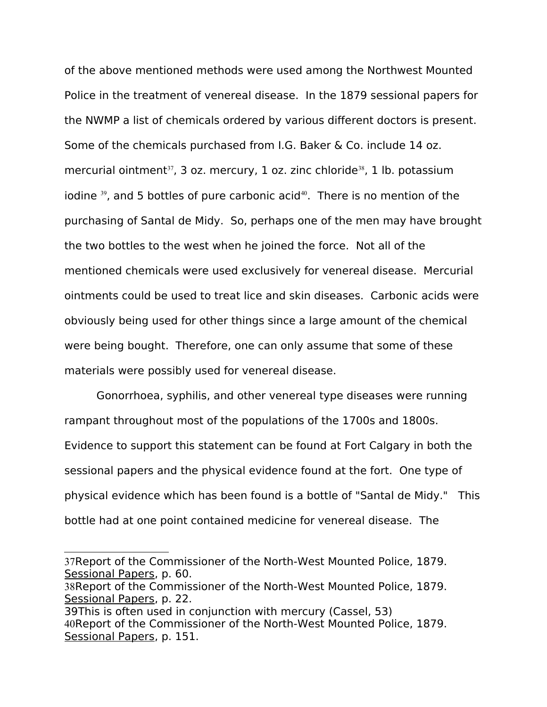of the above mentioned methods were used among the Northwest Mounted Police in the treatment of venereal disease. In the 1879 sessional papers for the NWMP a list of chemicals ordered by various different doctors is present. Some of the chemicals purchased from I.G. Baker & Co. include 14 oz. mercurial ointment<sup>[37](#page-11-0)</sup>, 3 oz. mercury, 1 oz. zinc chloride<sup>[38](#page-11-1)</sup>, 1 lb. potassium iodine  $39$ , and 5 bottles of pure carbonic acid<sup>[40](#page-11-3)</sup>. There is no mention of the purchasing of Santal de Midy. So, perhaps one of the men may have brought the two bottles to the west when he joined the force. Not all of the mentioned chemicals were used exclusively for venereal disease. Mercurial ointments could be used to treat lice and skin diseases. Carbonic acids were obviously being used for other things since a large amount of the chemical were being bought. Therefore, one can only assume that some of these materials were possibly used for venereal disease.

Gonorrhoea, syphilis, and other venereal type diseases were running rampant throughout most of the populations of the 1700s and 1800s. Evidence to support this statement can be found at Fort Calgary in both the sessional papers and the physical evidence found at the fort. One type of physical evidence which has been found is a bottle of "Santal de Midy." This bottle had at one point contained medicine for venereal disease. The

<span id="page-11-0"></span><sup>37</sup>Report of the Commissioner of the North-West Mounted Police, 1879. Sessional Papers, p. 60.

<span id="page-11-1"></span><sup>38</sup>Report of the Commissioner of the North-West Mounted Police, 1879. Sessional Papers, p. 22.

<span id="page-11-3"></span><span id="page-11-2"></span><sup>39</sup>This is often used in conjunction with mercury (Cassel, 53) 40Report of the Commissioner of the North-West Mounted Police, 1879. Sessional Papers, p. 151.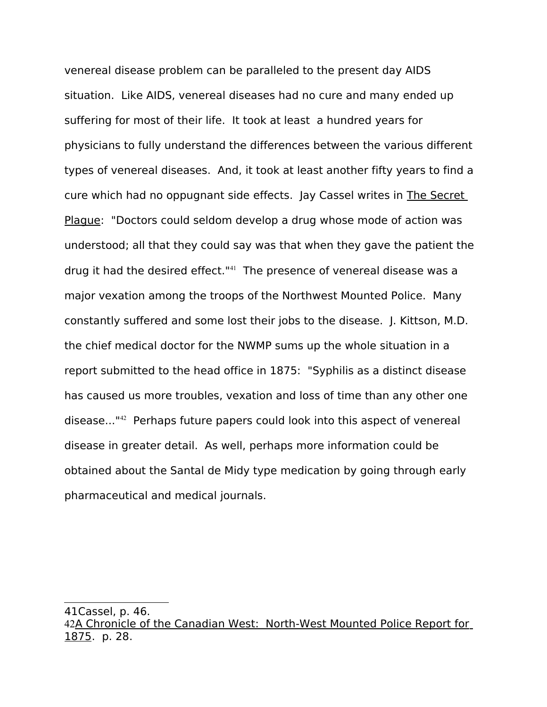venereal disease problem can be paralleled to the present day AIDS situation. Like AIDS, venereal diseases had no cure and many ended up suffering for most of their life. It took at least a hundred years for physicians to fully understand the differences between the various different types of venereal diseases. And, it took at least another fifty years to find a cure which had no oppugnant side effects. Jay Cassel writes in The Secret Plague: "Doctors could seldom develop a drug whose mode of action was understood; all that they could say was that when they gave the patient the drug it had the desired effect."<sup>[41](#page-12-0)</sup> The presence of venereal disease was a major vexation among the troops of the Northwest Mounted Police. Many constantly suffered and some lost their jobs to the disease. J. Kittson, M.D. the chief medical doctor for the NWMP sums up the whole situation in a report submitted to the head office in 1875: "Syphilis as a distinct disease has caused us more troubles, vexation and loss of time than any other one disease..."[42](#page-12-1) Perhaps future papers could look into this aspect of venereal disease in greater detail. As well, perhaps more information could be obtained about the Santal de Midy type medication by going through early pharmaceutical and medical journals.

<span id="page-12-0"></span><sup>41</sup>Cassel, p. 46.

<span id="page-12-1"></span><sup>42</sup>A Chronicle of the Canadian West: North-West Mounted Police Report for 1875. p. 28.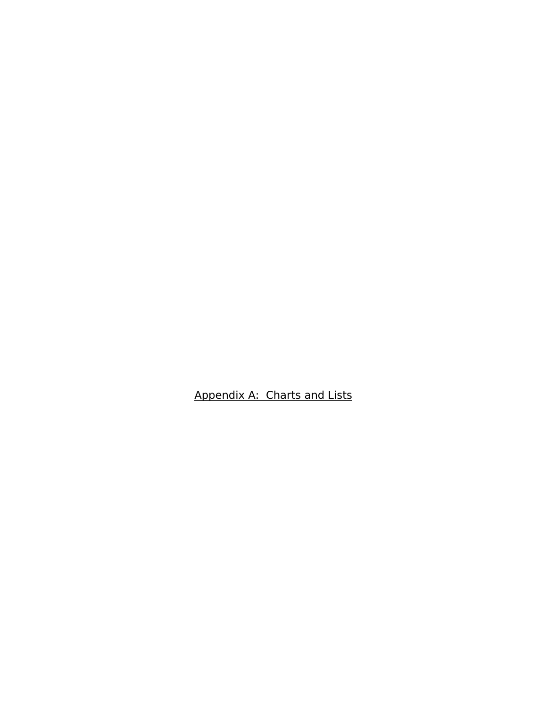Appendix A: Charts and Lists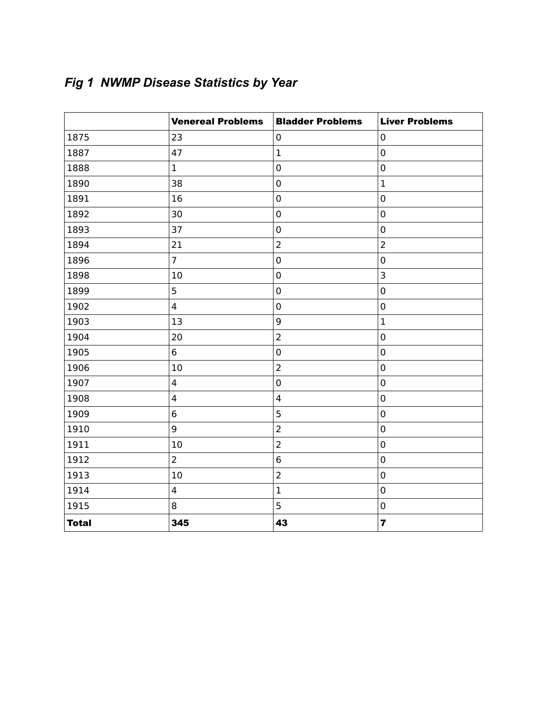## *Fig 1 NWMP Disease Statistics by Year*

|              | <b>Venereal Problems</b> | <b>Bladder Problems</b> | <b>Liver Problems</b>   |
|--------------|--------------------------|-------------------------|-------------------------|
| 1875         | 23                       | $\pmb{0}$               | $\pmb{0}$               |
| 1887         | 47                       | $\mathbf 1$             | $\mathbf 0$             |
| 1888         | $\mathbf{1}$             | $\boldsymbol{0}$        | $\mathbf 0$             |
| 1890         | 38                       | $\mathbf 0$             | $\mathbf{1}$            |
| 1891         | 16                       | $\mathbf 0$             | $\mathbf 0$             |
| 1892         | 30                       | $\boldsymbol{0}$        | $\pmb{0}$               |
| 1893         | 37                       | $\mathbf 0$             | $\mathbf 0$             |
| 1894         | 21                       | $\overline{2}$          | $\overline{2}$          |
| 1896         | $\overline{7}$           | $\mathbf 0$             | $\mathbf 0$             |
| 1898         | 10                       | $\mathbf 0$             | 3                       |
| 1899         | 5                        | $\mathbf 0$             | $\pmb{0}$               |
| 1902         | $\overline{\mathbf{4}}$  | $\boldsymbol{0}$        | $\pmb{0}$               |
| 1903         | 13                       | 9                       | $\mathbf{1}$            |
| 1904         | 20                       | $\overline{2}$          | $\pmb{0}$               |
| 1905         | 6                        | $\mathbf 0$             | $\pmb{0}$               |
| 1906         | 10                       | $\mathbf 2$             | $\pmb{0}$               |
| 1907         | $\overline{\mathbf{4}}$  | $\mathbf 0$             | $\pmb{0}$               |
| 1908         | $\overline{\mathbf{4}}$  | $\overline{4}$          | $\pmb{0}$               |
| 1909         | 6                        | 5                       | $\pmb{0}$               |
| 1910         | 9                        | $\overline{2}$          | $\pmb{0}$               |
| 1911         | 10                       | $\overline{2}$          | $\pmb{0}$               |
| 1912         | $\overline{2}$           | $\boldsymbol{6}$        | $\pmb{0}$               |
| 1913         | 10                       | $\overline{2}$          | $\pmb{0}$               |
| 1914         | $\overline{\mathbf{4}}$  | $\mathbf 1$             | $\pmb{0}$               |
| 1915         | 8                        | 5                       | $\pmb{0}$               |
| <b>Total</b> | 345                      | 43                      | $\overline{\mathbf{7}}$ |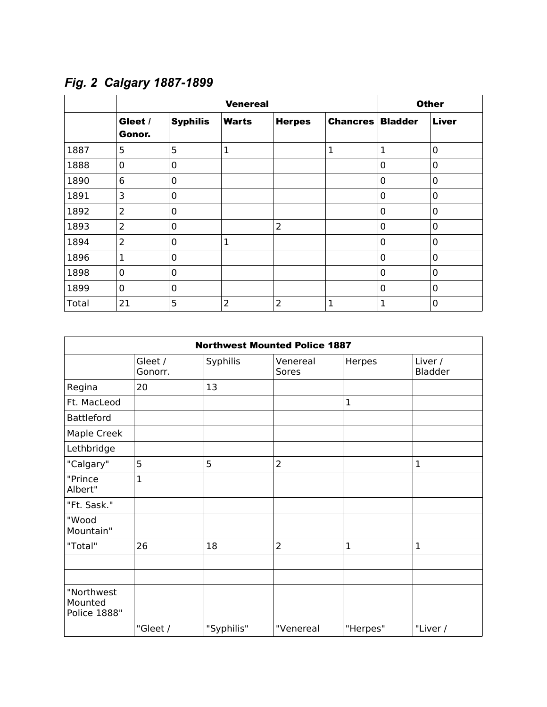|       | <b>Venereal</b>   |                 |                |                |                 | <b>Other</b>   |                |
|-------|-------------------|-----------------|----------------|----------------|-----------------|----------------|----------------|
|       | Gleet /<br>Gonor. | <b>Syphilis</b> | <b>Warts</b>   | <b>Herpes</b>  | <b>Chancres</b> | <b>Bladder</b> | <b>Liver</b>   |
| 1887  | 5                 | 5               | $\mathbf{1}$   |                | 1               | $\mathbf{1}$   | $\mathbf 0$    |
| 1888  | $\mathbf 0$       | $\mathbf 0$     |                |                |                 | 0              | $\mathbf 0$    |
| 1890  | 6                 | 0               |                |                |                 | 0              | $\mathbf 0$    |
| 1891  | 3                 | $\mathbf 0$     |                |                |                 | 0              | 0              |
| 1892  | $\overline{2}$    | $\mathbf 0$     |                |                |                 | 0              | $\mathbf 0$    |
| 1893  | $\overline{2}$    | 0               |                | $\overline{2}$ |                 | 0              | $\mathbf 0$    |
| 1894  | $\overline{2}$    | 0               | $\mathbf{1}$   |                |                 | 0              | $\mathbf 0$    |
| 1896  | $\mathbf 1$       | $\mathbf 0$     |                |                |                 | 0              | $\mathbf 0$    |
| 1898  | $\mathbf 0$       | $\mathbf 0$     |                |                |                 | 0              | $\mathbf 0$    |
| 1899  | $\mathbf 0$       | $\overline{0}$  |                |                |                 | 0              | $\mathbf 0$    |
| Total | 21                | 5               | $\overline{2}$ | $\overline{2}$ | $\mathbf 1$     | $\mathbf{1}$   | $\overline{0}$ |

*Fig. 2 Calgary 1887-1899*

| <b>Northwest Mounted Police 1887</b>  |                    |            |                   |             |                    |
|---------------------------------------|--------------------|------------|-------------------|-------------|--------------------|
|                                       | Gleet /<br>Gonorr. | Syphilis   | Venereal<br>Sores | Herpes      | Liver /<br>Bladder |
| Regina                                | 20                 | 13         |                   |             |                    |
| Ft. MacLeod                           |                    |            |                   | $\mathbf 1$ |                    |
| <b>Battleford</b>                     |                    |            |                   |             |                    |
| Maple Creek                           |                    |            |                   |             |                    |
| Lethbridge                            |                    |            |                   |             |                    |
| "Calgary"                             | 5                  | 5          | $\overline{2}$    |             | $\mathbf{1}$       |
| "Prince<br>Albert"                    | $\mathbf{1}$       |            |                   |             |                    |
| "Ft. Sask."                           |                    |            |                   |             |                    |
| "Wood<br>Mountain"                    |                    |            |                   |             |                    |
| "Total"                               | 26                 | 18         | $\overline{2}$    | $\mathbf 1$ | $\mathbf{1}$       |
|                                       |                    |            |                   |             |                    |
|                                       |                    |            |                   |             |                    |
| "Northwest<br>Mounted<br>Police 1888" |                    |            |                   |             |                    |
|                                       | "Gleet /           | "Syphilis" | "Venereal         | "Herpes"    | "Liver /           |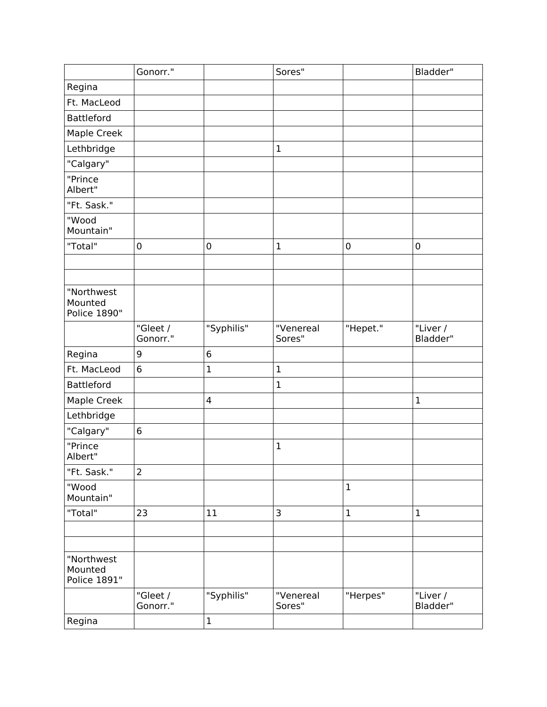|                                       | Gonorr."             |                         | Sores"              |              | Bladder"             |
|---------------------------------------|----------------------|-------------------------|---------------------|--------------|----------------------|
| Regina                                |                      |                         |                     |              |                      |
| Ft. MacLeod                           |                      |                         |                     |              |                      |
| <b>Battleford</b>                     |                      |                         |                     |              |                      |
| Maple Creek                           |                      |                         |                     |              |                      |
| Lethbridge                            |                      |                         | $\mathbf 1$         |              |                      |
| "Calgary"                             |                      |                         |                     |              |                      |
| "Prince<br>Albert"                    |                      |                         |                     |              |                      |
| "Ft. Sask."                           |                      |                         |                     |              |                      |
| "Wood<br>Mountain"                    |                      |                         |                     |              |                      |
| "Total"                               | $\pmb{0}$            | $\pmb{0}$               | $\mathbf 1$         | $\mathbf 0$  | $\pmb{0}$            |
|                                       |                      |                         |                     |              |                      |
|                                       |                      |                         |                     |              |                      |
| "Northwest<br>Mounted<br>Police 1890" |                      |                         |                     |              |                      |
|                                       | "Gleet /<br>Gonorr." | "Syphilis"              | "Venereal<br>Sores" | "Hepet."     | "Liver /<br>Bladder" |
| Regina                                | 9                    | 6                       |                     |              |                      |
| Ft. MacLeod                           | 6                    | $\mathbf 1$             | $\mathbf 1$         |              |                      |
| <b>Battleford</b>                     |                      |                         | $\mathbf 1$         |              |                      |
| Maple Creek                           |                      | $\overline{\mathbf{4}}$ |                     |              | $\mathbf{1}$         |
| Lethbridge                            |                      |                         |                     |              |                      |
| "Calgary"                             | 6                    |                         |                     |              |                      |
| "Prince<br>Albert"                    |                      |                         | $\mathbf 1$         |              |                      |
| "Ft. Sask."                           | $\overline{2}$       |                         |                     |              |                      |
| "Wood<br>Mountain"                    |                      |                         |                     | $\mathbf{1}$ |                      |
| "Total"                               | 23                   | 11                      | 3                   | $\mathbf 1$  | $\mathbf 1$          |
|                                       |                      |                         |                     |              |                      |
|                                       |                      |                         |                     |              |                      |
| "Northwest<br>Mounted<br>Police 1891" |                      |                         |                     |              |                      |
|                                       | "Gleet /<br>Gonorr." | "Syphilis"              | "Venereal<br>Sores" | "Herpes"     | "Liver /<br>Bladder" |
| Regina                                |                      | $\mathbf{1}$            |                     |              |                      |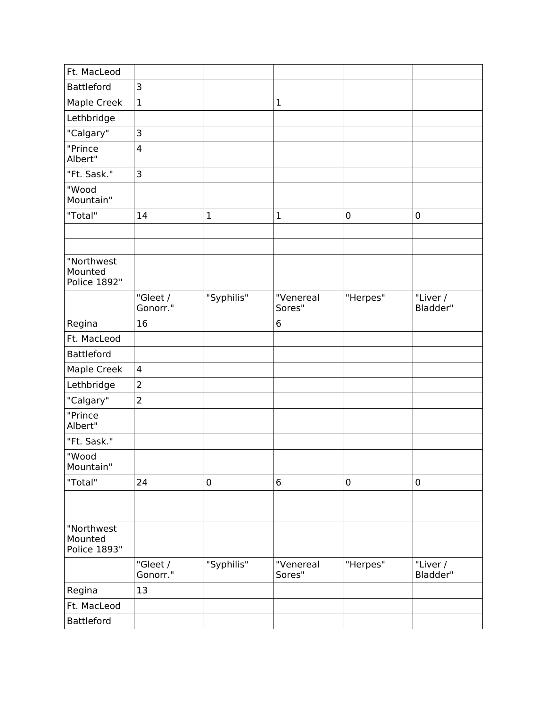| Ft. MacLeod                           |                         |             |                     |             |                      |
|---------------------------------------|-------------------------|-------------|---------------------|-------------|----------------------|
| <b>Battleford</b>                     | 3                       |             |                     |             |                      |
| Maple Creek                           | $\mathbf{1}$            |             | $\mathbf 1$         |             |                      |
| Lethbridge                            |                         |             |                     |             |                      |
| "Calgary"                             | 3                       |             |                     |             |                      |
| "Prince<br>Albert"                    | $\overline{4}$          |             |                     |             |                      |
| "Ft. Sask."                           | 3                       |             |                     |             |                      |
| "Wood<br>Mountain"                    |                         |             |                     |             |                      |
| "Total"                               | 14                      | $\mathbf 1$ | $\mathbf 1$         | $\mathbf 0$ | 0                    |
|                                       |                         |             |                     |             |                      |
|                                       |                         |             |                     |             |                      |
| "Northwest<br>Mounted<br>Police 1892" |                         |             |                     |             |                      |
|                                       | "Gleet /<br>Gonorr."    | "Syphilis"  | "Venereal<br>Sores" | "Herpes"    | "Liver /<br>Bladder" |
| Regina                                | 16                      |             | 6                   |             |                      |
| Ft. MacLeod                           |                         |             |                     |             |                      |
| <b>Battleford</b>                     |                         |             |                     |             |                      |
| Maple Creek                           | $\overline{\mathbf{4}}$ |             |                     |             |                      |
| Lethbridge                            | $\overline{2}$          |             |                     |             |                      |
| "Calgary"                             | $\overline{2}$          |             |                     |             |                      |
| "Prince<br>Albert"                    |                         |             |                     |             |                      |
| "Ft. Sask."                           |                         |             |                     |             |                      |
| "Wood<br>Mountain"                    |                         |             |                     |             |                      |
| "Total"                               | 24                      | 0           | 6                   | $\mathbf 0$ | 0                    |
|                                       |                         |             |                     |             |                      |
|                                       |                         |             |                     |             |                      |
| "Northwest<br>Mounted<br>Police 1893" |                         |             |                     |             |                      |
|                                       | "Gleet /<br>Gonorr."    | "Syphilis"  | "Venereal<br>Sores" | "Herpes"    | "Liver /<br>Bladder" |
| Regina                                | 13                      |             |                     |             |                      |
| Ft. MacLeod                           |                         |             |                     |             |                      |
| Battleford                            |                         |             |                     |             |                      |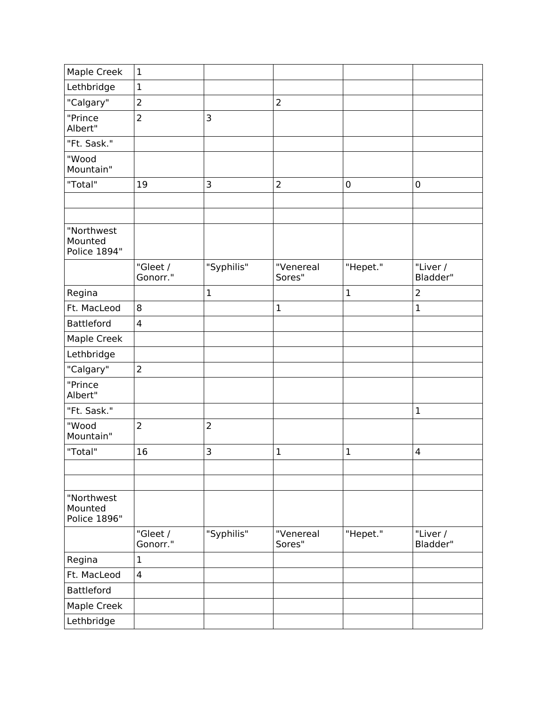| Maple Creek                           | $\mathbf{1}$            |                |                     |              |                         |
|---------------------------------------|-------------------------|----------------|---------------------|--------------|-------------------------|
| Lethbridge                            | $\mathbf{1}$            |                |                     |              |                         |
| "Calgary"                             | $\overline{2}$          |                | $\overline{2}$      |              |                         |
| "Prince<br>Albert"                    | $\overline{2}$          | 3              |                     |              |                         |
| "Ft. Sask."                           |                         |                |                     |              |                         |
| "Wood<br>Mountain"                    |                         |                |                     |              |                         |
| "Total"                               | 19                      | 3              | $\overline{2}$      | 0            | 0                       |
|                                       |                         |                |                     |              |                         |
|                                       |                         |                |                     |              |                         |
| "Northwest<br>Mounted<br>Police 1894" |                         |                |                     |              |                         |
|                                       | "Gleet /<br>Gonorr."    | "Syphilis"     | "Venereal<br>Sores" | "Hepet."     | "Liver /<br>Bladder"    |
| Regina                                |                         | $\mathbf{1}$   |                     | $\mathbf{1}$ | $\overline{2}$          |
| Ft. MacLeod                           | 8                       |                | $\mathbf{1}$        |              | $\mathbf{1}$            |
| <b>Battleford</b>                     | $\overline{\mathbf{4}}$ |                |                     |              |                         |
| Maple Creek                           |                         |                |                     |              |                         |
| Lethbridge                            |                         |                |                     |              |                         |
| "Calgary"                             | $\overline{2}$          |                |                     |              |                         |
| "Prince<br>Albert"                    |                         |                |                     |              |                         |
| "Ft. Sask."                           |                         |                |                     |              | $\mathbf{1}$            |
| "Wood<br>Mountain"                    | $\overline{2}$          | $\overline{2}$ |                     |              |                         |
| "Total"                               | 16                      | 3              | $\mathbf{1}$        | $\mathbf{1}$ | $\overline{\mathbf{4}}$ |
|                                       |                         |                |                     |              |                         |
|                                       |                         |                |                     |              |                         |
| "Northwest<br>Mounted<br>Police 1896" |                         |                |                     |              |                         |
|                                       | "Gleet /<br>Gonorr."    | "Syphilis"     | "Venereal<br>Sores" | "Hepet."     | "Liver /<br>Bladder"    |
| Regina                                | $\mathbf 1$             |                |                     |              |                         |
| Ft. MacLeod                           | $\overline{4}$          |                |                     |              |                         |
| <b>Battleford</b>                     |                         |                |                     |              |                         |
| Maple Creek                           |                         |                |                     |              |                         |
| Lethbridge                            |                         |                |                     |              |                         |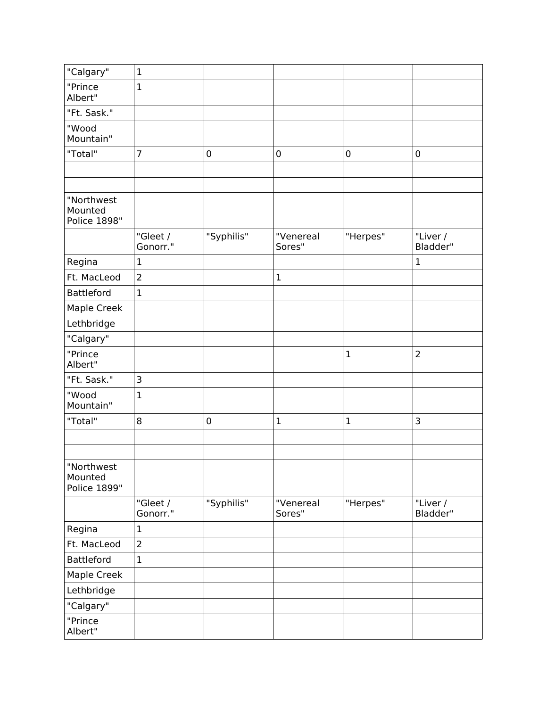| "Calgary"                             | $\mathbf{1}$         |            |                     |              |                      |
|---------------------------------------|----------------------|------------|---------------------|--------------|----------------------|
| "Prince<br>Albert"                    | $\mathbf{1}$         |            |                     |              |                      |
| "Ft. Sask."                           |                      |            |                     |              |                      |
| "Wood<br>Mountain"                    |                      |            |                     |              |                      |
| "Total"                               | $\overline{7}$       | $\pmb{0}$  | 0                   | 0            | 0                    |
|                                       |                      |            |                     |              |                      |
|                                       |                      |            |                     |              |                      |
| "Northwest<br>Mounted<br>Police 1898" |                      |            |                     |              |                      |
|                                       | "Gleet /<br>Gonorr." | "Syphilis" | "Venereal<br>Sores" | "Herpes"     | "Liver /<br>Bladder" |
| Regina                                | $\mathbf{1}$         |            |                     |              | $\mathbf 1$          |
| Ft. MacLeod                           | $\overline{2}$       |            | $\mathbf 1$         |              |                      |
| <b>Battleford</b>                     | $\mathbf{1}$         |            |                     |              |                      |
| Maple Creek                           |                      |            |                     |              |                      |
| Lethbridge                            |                      |            |                     |              |                      |
| "Calgary"                             |                      |            |                     |              |                      |
| "Prince<br>Albert"                    |                      |            |                     | $\mathbf 1$  | $\overline{2}$       |
| "Ft. Sask."                           | 3                    |            |                     |              |                      |
| "Wood<br>Mountain"                    | $\mathbf{1}$         |            |                     |              |                      |
| "Total"                               | 8                    | $\pmb{0}$  | $\mathbf 1$         | $\mathbf{1}$ | 3                    |
|                                       |                      |            |                     |              |                      |
|                                       |                      |            |                     |              |                      |
| "Northwest<br>Mounted<br>Police 1899" |                      |            |                     |              |                      |
|                                       | "Gleet /<br>Gonorr." | "Syphilis" | "Venereal<br>Sores" | "Herpes"     | "Liver /<br>Bladder" |
| Regina                                | $\mathbf{1}$         |            |                     |              |                      |
| Ft. MacLeod                           | $\overline{2}$       |            |                     |              |                      |
| <b>Battleford</b>                     | $\mathbf{1}$         |            |                     |              |                      |
| Maple Creek                           |                      |            |                     |              |                      |
| Lethbridge                            |                      |            |                     |              |                      |
| "Calgary"                             |                      |            |                     |              |                      |
| "Prince<br>Albert"                    |                      |            |                     |              |                      |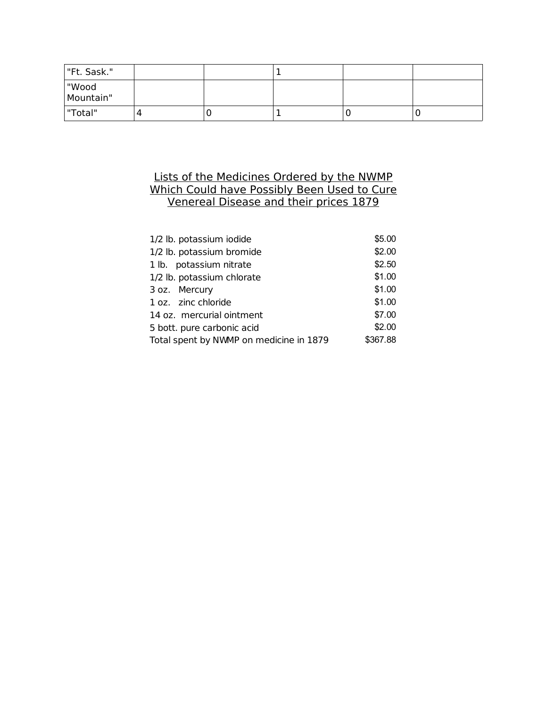| "Ft. Sask."         |  |  |  |
|---------------------|--|--|--|
| "Wood<br> Mountain" |  |  |  |
| "Total"             |  |  |  |

## Lists of the Medicines Ordered by the NWMP Which Could have Possibly Been Used to Cure Venereal Disease and their prices 1879

| 1/2 lb. potassium iodide                | \$5.00   |
|-----------------------------------------|----------|
| 1/2 lb. potassium bromide               | \$2.00   |
| 1 lb. potassium nitrate                 | \$2.50   |
| 1/2 lb. potassium chlorate              | \$1.00   |
| 3 oz. Mercury                           | \$1.00   |
| 1 oz. zinc chloride                     | \$1.00   |
| 14 oz. mercurial ointment               | \$7.00   |
| 5 bott. pure carbonic acid              | \$2.00   |
| Total spent by NWMP on medicine in 1879 | \$367.88 |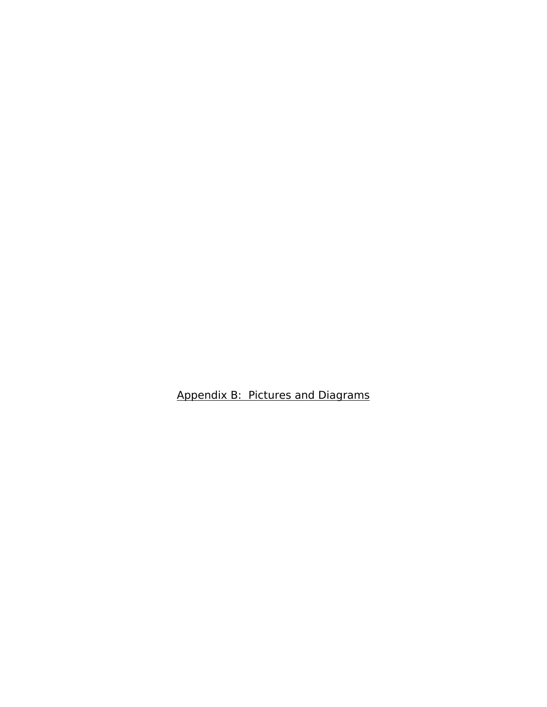Appendix B: Pictures and Diagrams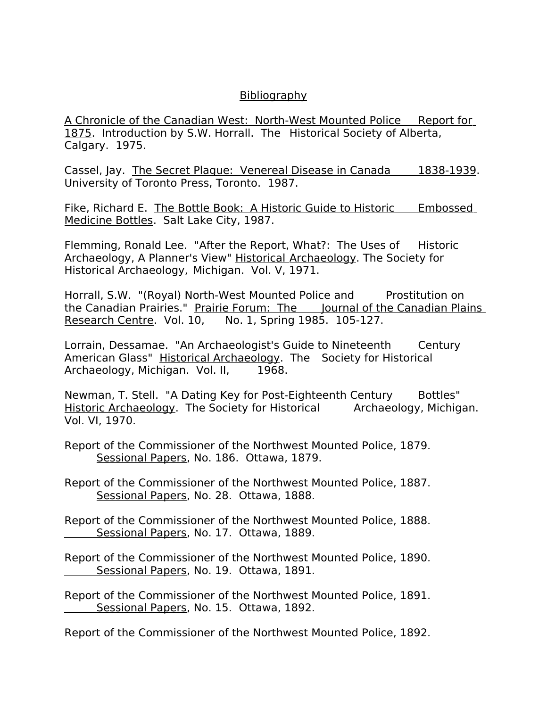## **Bibliography**

 A Chronicle of the Canadian West: North-West Mounted Police Report for 1875. Introduction by S.W. Horrall. The Historical Society of Alberta, Calgary. 1975.

Cassel, Jay. The Secret Plague: Venereal Disease in Canada 1838-1939. University of Toronto Press, Toronto. 1987.

Fike, Richard E. The Bottle Book: A Historic Guide to Historic Embossed Medicine Bottles. Salt Lake City, 1987.

Flemming, Ronald Lee. "After the Report, What?: The Uses of Historic Archaeology, A Planner's View" Historical Archaeology. The Society for Historical Archaeology, Michigan. Vol. V, 1971.

Horrall, S.W. "(Royal) North-West Mounted Police and Prostitution on the Canadian Prairies." Prairie Forum: The Journal of the Canadian Plains Research Centre. Vol. 10, No. 1, Spring 1985. 105-127.

Lorrain, Dessamae. "An Archaeologist's Guide to Nineteenth Century American Glass" Historical Archaeology. The Society for Historical Archaeology, Michigan. Vol. II, 1968.

Newman, T. Stell. "A Dating Key for Post-Eighteenth Century Bottles" Historic Archaeology. The Society for Historical Archaeology, Michigan. Vol. VI, 1970.

Report of the Commissioner of the Northwest Mounted Police, 1879. Sessional Papers, No. 186. Ottawa, 1879.

Report of the Commissioner of the Northwest Mounted Police, 1887. Sessional Papers, No. 28. Ottawa, 1888.

Report of the Commissioner of the Northwest Mounted Police, 1888. Sessional Papers, No. 17. Ottawa, 1889.

Report of the Commissioner of the Northwest Mounted Police, 1890. Sessional Papers, No. 19. Ottawa, 1891.

Report of the Commissioner of the Northwest Mounted Police, 1891. Sessional Papers, No. 15. Ottawa, 1892.

Report of the Commissioner of the Northwest Mounted Police, 1892.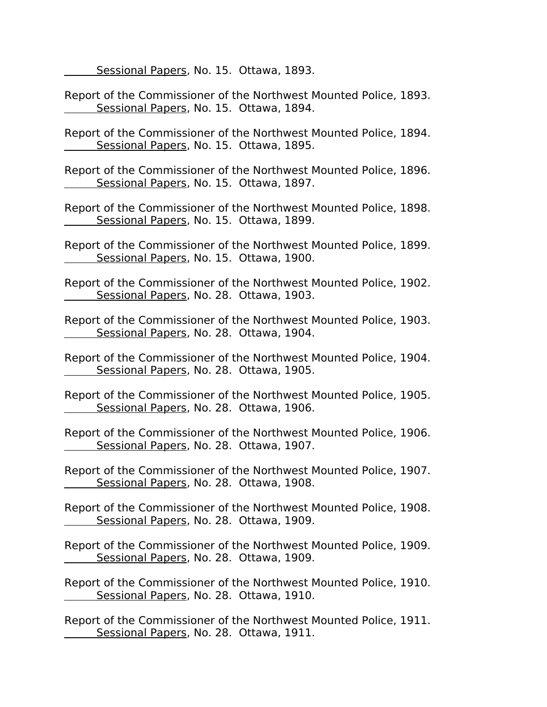Sessional Papers, No. 15. Ottawa, 1893.

Report of the Commissioner of the Northwest Mounted Police, 1893. Sessional Papers, No. 15. Ottawa, 1894.

Report of the Commissioner of the Northwest Mounted Police, 1894. Sessional Papers, No. 15. Ottawa, 1895.

Report of the Commissioner of the Northwest Mounted Police, 1896. Sessional Papers, No. 15. Ottawa, 1897.

Report of the Commissioner of the Northwest Mounted Police, 1898. Sessional Papers, No. 15. Ottawa, 1899.

Report of the Commissioner of the Northwest Mounted Police, 1899. Sessional Papers, No. 15. Ottawa, 1900.

Report of the Commissioner of the Northwest Mounted Police, 1902. Sessional Papers, No. 28. Ottawa, 1903.

Report of the Commissioner of the Northwest Mounted Police, 1903. Sessional Papers, No. 28. Ottawa, 1904.

Report of the Commissioner of the Northwest Mounted Police, 1904. Sessional Papers, No. 28. Ottawa, 1905.

Report of the Commissioner of the Northwest Mounted Police, 1905. Sessional Papers, No. 28. Ottawa, 1906.

Report of the Commissioner of the Northwest Mounted Police, 1906. Sessional Papers, No. 28. Ottawa, 1907.

Report of the Commissioner of the Northwest Mounted Police, 1907. Sessional Papers, No. 28. Ottawa, 1908.

Report of the Commissioner of the Northwest Mounted Police, 1908. Sessional Papers, No. 28. Ottawa, 1909.

Report of the Commissioner of the Northwest Mounted Police, 1909. Sessional Papers, No. 28. Ottawa, 1909.

Report of the Commissioner of the Northwest Mounted Police, 1910. Sessional Papers, No. 28. Ottawa, 1910.

Report of the Commissioner of the Northwest Mounted Police, 1911. Sessional Papers, No. 28. Ottawa, 1911.